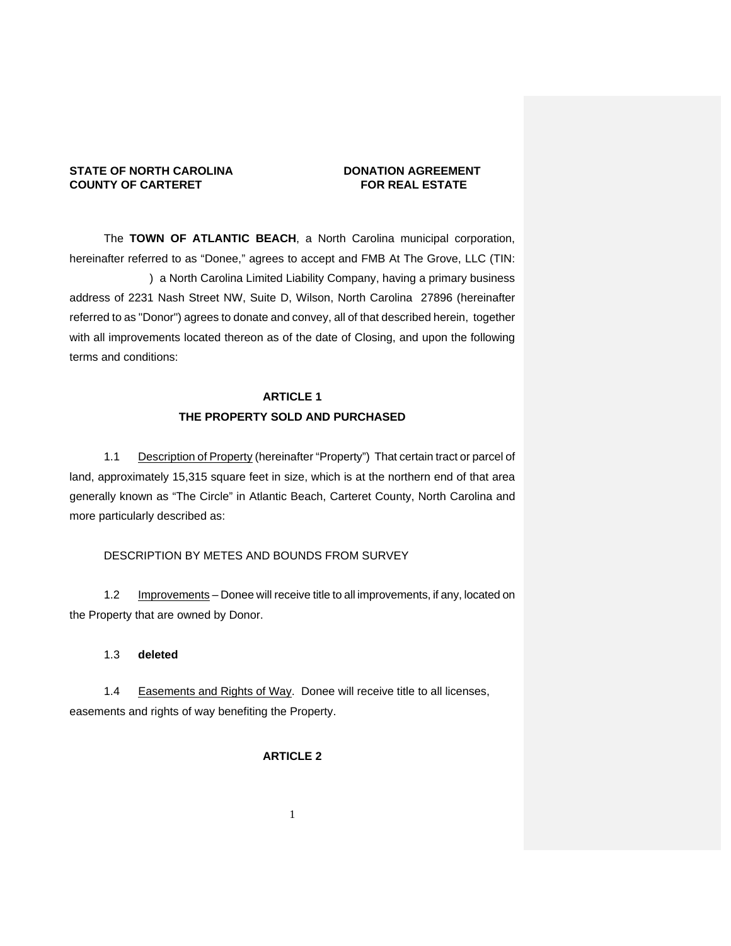# **STATE OF NORTH CAROLINA COUNTY OF CARTERET COUNTY OF CARTER OF A PORT OF COUNTY OF CARTER OF A PORT OF A PORT OF A PORT OF A PORT OF A PORT OF A PORT OF A PORT OF A PORT OF A PORT OF A PORT OF A PORT OF A PORT OF A PORT O COUNTY OF CARTERET**

The **TOWN OF ATLANTIC BEACH**, a North Carolina municipal corporation, hereinafter referred to as "Donee," agrees to accept and FMB At The Grove, LLC (TIN: ) a North Carolina Limited Liability Company, having a primary business address of 2231 Nash Street NW, Suite D, Wilson, North Carolina 27896 (hereinafter referred to as "Donor") agrees to donate and convey, all of that described herein, together with all improvements located thereon as of the date of Closing, and upon the following terms and conditions:

# **ARTICLE 1 THE PROPERTY SOLD AND PURCHASED**

1.1 Description of Property (hereinafter "Property") That certain tract or parcel of land, approximately 15,315 square feet in size, which is at the northern end of that area generally known as "The Circle" in Atlantic Beach, Carteret County, North Carolina and more particularly described as:

# DESCRIPTION BY METES AND BOUNDS FROM SURVEY

1.2 Improvements – Donee will receive title to all improvements, if any, located on the Property that are owned by Donor.

### 1.3 **deleted**

1.4 Easements and Rights of Way. Donee will receive title to all licenses, easements and rights of way benefiting the Property.

# **ARTICLE 2**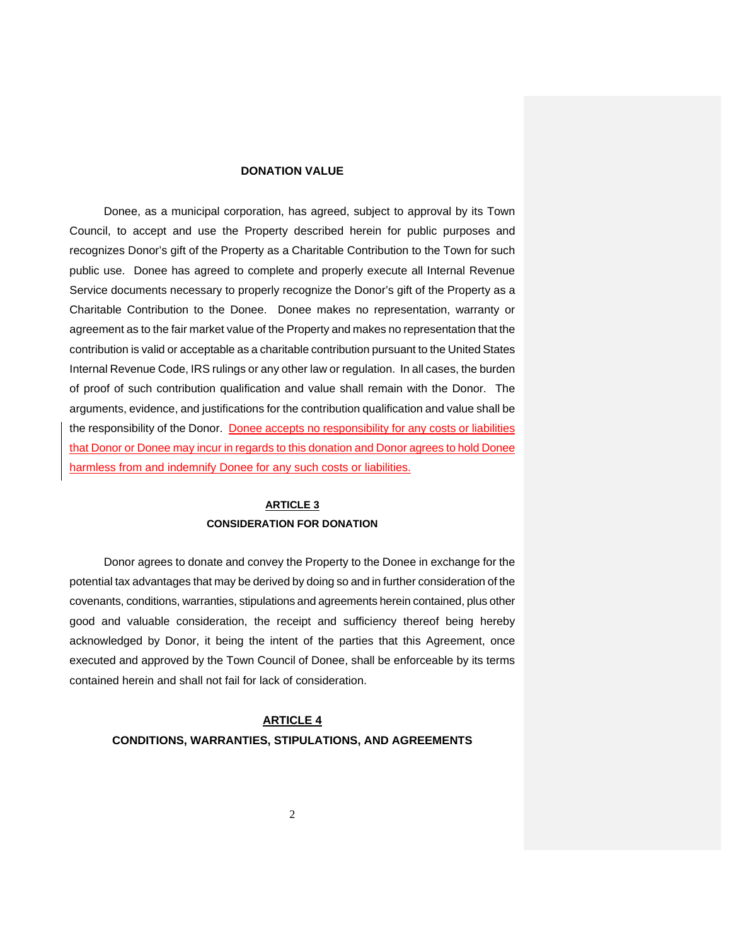### **DONATION VALUE**

Donee, as a municipal corporation, has agreed, subject to approval by its Town Council, to accept and use the Property described herein for public purposes and recognizes Donor's gift of the Property as a Charitable Contribution to the Town for such public use. Donee has agreed to complete and properly execute all Internal Revenue Service documents necessary to properly recognize the Donor's gift of the Property as a Charitable Contribution to the Donee. Donee makes no representation, warranty or agreement as to the fair market value of the Property and makes no representation that the contribution is valid or acceptable as a charitable contribution pursuant to the United States Internal Revenue Code, IRS rulings or any other law or regulation. In all cases, the burden of proof of such contribution qualification and value shall remain with the Donor. The arguments, evidence, and justifications for the contribution qualification and value shall be the responsibility of the Donor. Donee accepts no responsibility for any costs or liabilities that Donor or Donee may incur in regards to this donation and Donor agrees to hold Donee harmless from and indemnify Donee for any such costs or liabilities.

# **ARTICLE 3 CONSIDERATION FOR DONATION**

 Donor agrees to donate and convey the Property to the Donee in exchange for the potential tax advantages that may be derived by doing so and in further consideration of the covenants, conditions, warranties, stipulations and agreements herein contained, plus other good and valuable consideration, the receipt and sufficiency thereof being hereby acknowledged by Donor, it being the intent of the parties that this Agreement, once executed and approved by the Town Council of Donee, shall be enforceable by its terms contained herein and shall not fail for lack of consideration.

# **ARTICLE 4**

### **CONDITIONS, WARRANTIES, STIPULATIONS, AND AGREEMENTS**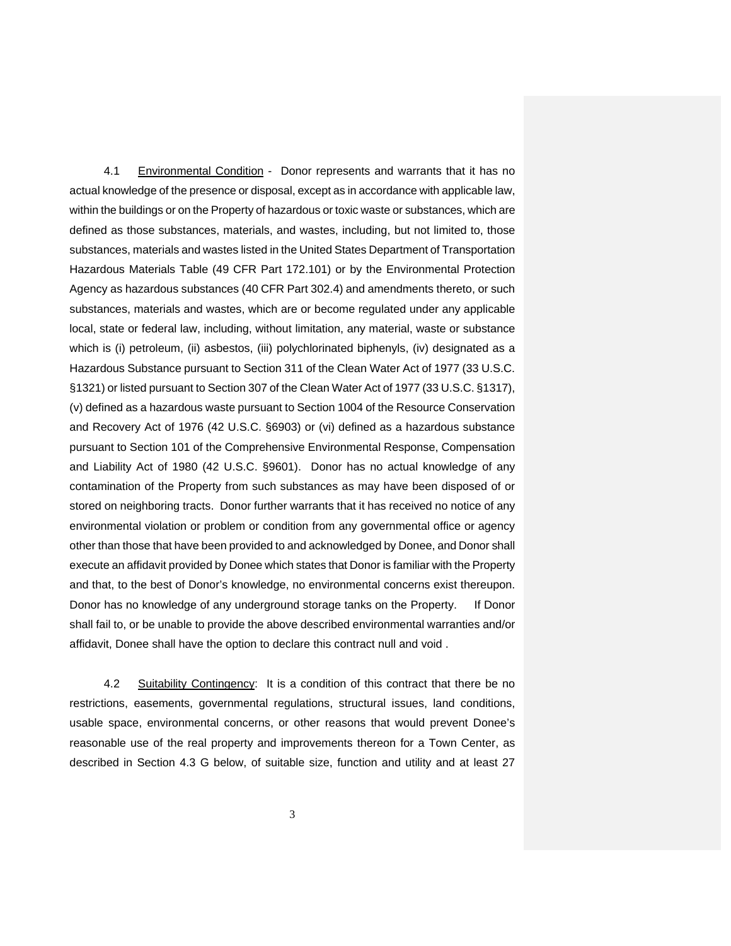4.1 Environmental Condition - Donor represents and warrants that it has no actual knowledge of the presence or disposal, except as in accordance with applicable law, within the buildings or on the Property of hazardous or toxic waste or substances, which are defined as those substances, materials, and wastes, including, but not limited to, those substances, materials and wastes listed in the United States Department of Transportation Hazardous Materials Table (49 CFR Part 172.101) or by the Environmental Protection Agency as hazardous substances (40 CFR Part 302.4) and amendments thereto, or such substances, materials and wastes, which are or become regulated under any applicable local, state or federal law, including, without limitation, any material, waste or substance which is (i) petroleum, (ii) asbestos, (iii) polychlorinated biphenyls, (iv) designated as a Hazardous Substance pursuant to Section 311 of the Clean Water Act of 1977 (33 U.S.C. §1321) or listed pursuant to Section 307 of the Clean Water Act of 1977 (33 U.S.C. §1317), (v) defined as a hazardous waste pursuant to Section 1004 of the Resource Conservation and Recovery Act of 1976 (42 U.S.C. §6903) or (vi) defined as a hazardous substance pursuant to Section 101 of the Comprehensive Environmental Response, Compensation and Liability Act of 1980 (42 U.S.C. §9601). Donor has no actual knowledge of any contamination of the Property from such substances as may have been disposed of or stored on neighboring tracts. Donor further warrants that it has received no notice of any environmental violation or problem or condition from any governmental office or agency other than those that have been provided to and acknowledged by Donee, and Donor shall execute an affidavit provided by Donee which states that Donor is familiar with the Property and that, to the best of Donor's knowledge, no environmental concerns exist thereupon. Donor has no knowledge of any underground storage tanks on the Property. If Donor shall fail to, or be unable to provide the above described environmental warranties and/or affidavit, Donee shall have the option to declare this contract null and void .

4.2 Suitability Contingency: It is a condition of this contract that there be no restrictions, easements, governmental regulations, structural issues, land conditions, usable space, environmental concerns, or other reasons that would prevent Donee's reasonable use of the real property and improvements thereon for a Town Center, as described in Section 4.3 G below, of suitable size, function and utility and at least 27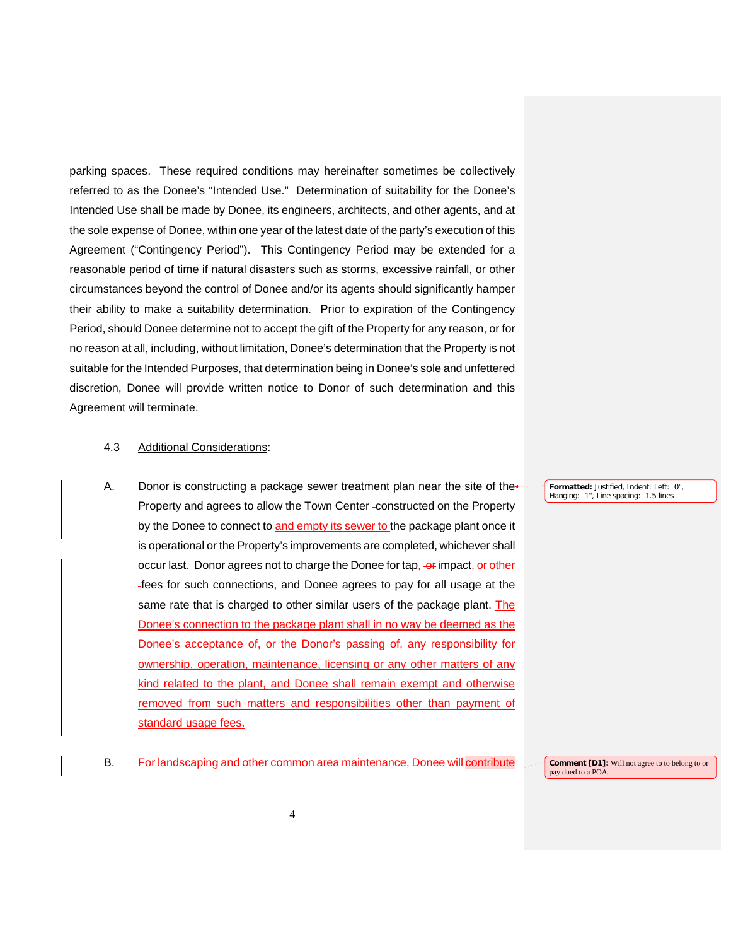parking spaces. These required conditions may hereinafter sometimes be collectively referred to as the Donee's "Intended Use." Determination of suitability for the Donee's Intended Use shall be made by Donee, its engineers, architects, and other agents, and at the sole expense of Donee, within one year of the latest date of the party's execution of this Agreement ("Contingency Period"). This Contingency Period may be extended for a reasonable period of time if natural disasters such as storms, excessive rainfall, or other circumstances beyond the control of Donee and/or its agents should significantly hamper their ability to make a suitability determination. Prior to expiration of the Contingency Period, should Donee determine not to accept the gift of the Property for any reason, or for no reason at all, including, without limitation, Donee's determination that the Property is not suitable for the Intended Purposes, that determination being in Donee's sole and unfettered discretion, Donee will provide written notice to Donor of such determination and this Agreement will terminate.

## 4.3 Additional Considerations:

A. Donor is constructing a package sewer treatment plan near the site of the $\star$ -Property and agrees to allow the Town Center -constructed on the Property by the Donee to connect to and empty its sewer to the package plant once it is operational or the Property's improvements are completed, whichever shall occur last. Donor agrees not to charge the Donee for tap, or impact, or other fees for such connections, and Donee agrees to pay for all usage at the same rate that is charged to other similar users of the package plant. The Donee's connection to the package plant shall in no way be deemed as the Donee's acceptance of, or the Donor's passing of, any responsibility for ownership, operation, maintenance, licensing or any other matters of any kind related to the plant, and Donee shall remain exempt and otherwise removed from such matters and responsibilities other than payment of standard usage fees.

### **Formatted:** Justified, Indent: Left: 0", Hanging: 1", Line spacing: 1.5 lines

### B. For landscaping and other common area maintenance, Donee will contribute

**Comment [D1]:** Will not agree to to belong to or pay dued to a POA.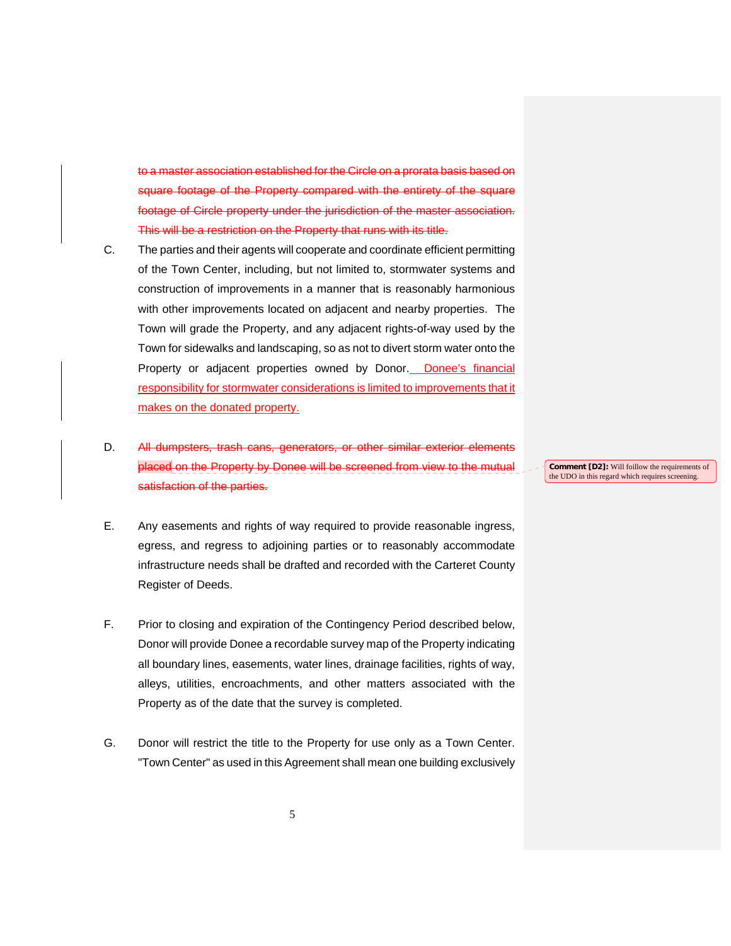association established for the Circle on a prorata basis based on footage of the Property compared with the entirety of the square footage of Circle property under the jurisdiction of the master association. This will be a restriction on the Property that runs with its title.

- C. The parties and their agents will cooperate and coordinate efficient permitting of the Town Center, including, but not limited to, stormwater systems and construction of improvements in a manner that is reasonably harmonious with other improvements located on adjacent and nearby properties. The Town will grade the Property, and any adjacent rights-of-way used by the Town for sidewalks and landscaping, so as not to divert storm water onto the Property or adjacent properties owned by Donor. Donee's financial responsibility for stormwater considerations is limited to improvements that it makes on the donated property.
- D. All dumpsters, trash cans, generators, or other similar exterior elements Property by Donee will be satisfaction of the parties.
- E. Any easements and rights of way required to provide reasonable ingress, egress, and regress to adjoining parties or to reasonably accommodate infrastructure needs shall be drafted and recorded with the Carteret County Register of Deeds.
- F. Prior to closing and expiration of the Contingency Period described below, Donor will provide Donee a recordable survey map of the Property indicating all boundary lines, easements, water lines, drainage facilities, rights of way, alleys, utilities, encroachments, and other matters associated with the Property as of the date that the survey is completed.
- G. Donor will restrict the title to the Property for use only as a Town Center. "Town Center" as used in this Agreement shall mean one building exclusively

**Comment [D2]:** Will foillow the requirements of the UDO in this regard which requires screening.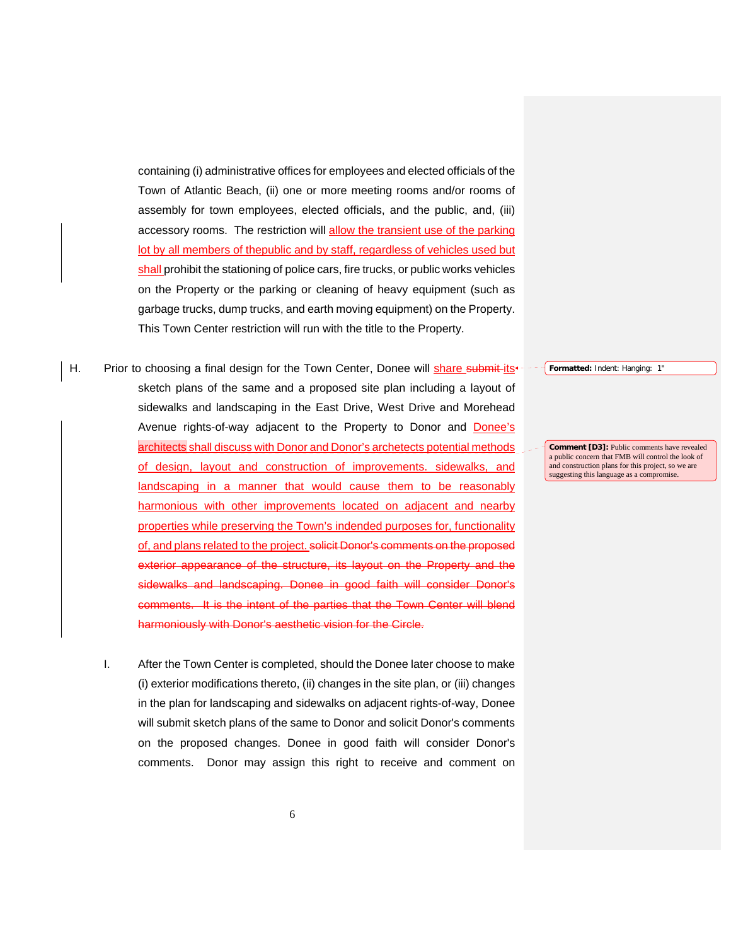containing (i) administrative offices for employees and elected officials of the Town of Atlantic Beach, (ii) one or more meeting rooms and/or rooms of assembly for town employees, elected officials, and the public, and, (iii) accessory rooms. The restriction will allow the transient use of the parking lot by all members of thepublic and by staff, regardless of vehicles used but shall prohibit the stationing of police cars, fire trucks, or public works vehicles on the Property or the parking or cleaning of heavy equipment (such as garbage trucks, dump trucks, and earth moving equipment) on the Property. This Town Center restriction will run with the title to the Property.

- H. Prior to choosing a final design for the Town Center, Donee will share submit its<sup>+-</sup> sketch plans of the same and a proposed site plan including a layout of sidewalks and landscaping in the East Drive, West Drive and Morehead Avenue rights-of-way adjacent to the Property to Donor and Donee's architects shall discuss with Donor and Donor's archetects potential methods of design, layout and construction of improvements. sidewalks, and landscaping in a manner that would cause them to be reasonably harmonious with other improvements located on adjacent and nearby properties while preserving the Town's indended purposes for, functionality of, and plans related to the project. solicit Donor's comments on the proposed exterior appearance of the structure, its layout on the Property and the sidewalks and landscaping. Donee in good faith will consider Donor's nments. It is the intent of the parties that the Town Center will blend harmoniously with Donor's aesthetic vision for the Circle.
	- I. After the Town Center is completed, should the Donee later choose to make (i) exterior modifications thereto, (ii) changes in the site plan, or (iii) changes in the plan for landscaping and sidewalks on adjacent rights-of-way, Donee will submit sketch plans of the same to Donor and solicit Donor's comments on the proposed changes. Donee in good faith will consider Donor's comments. Donor may assign this right to receive and comment on

**Formatted:** Indent: Hanging: 1"

**Comment [D3]:** Public comments have revealed a public concern that FMB will control the look of and construction plans for this project, so we are suggesting this language as a compromise.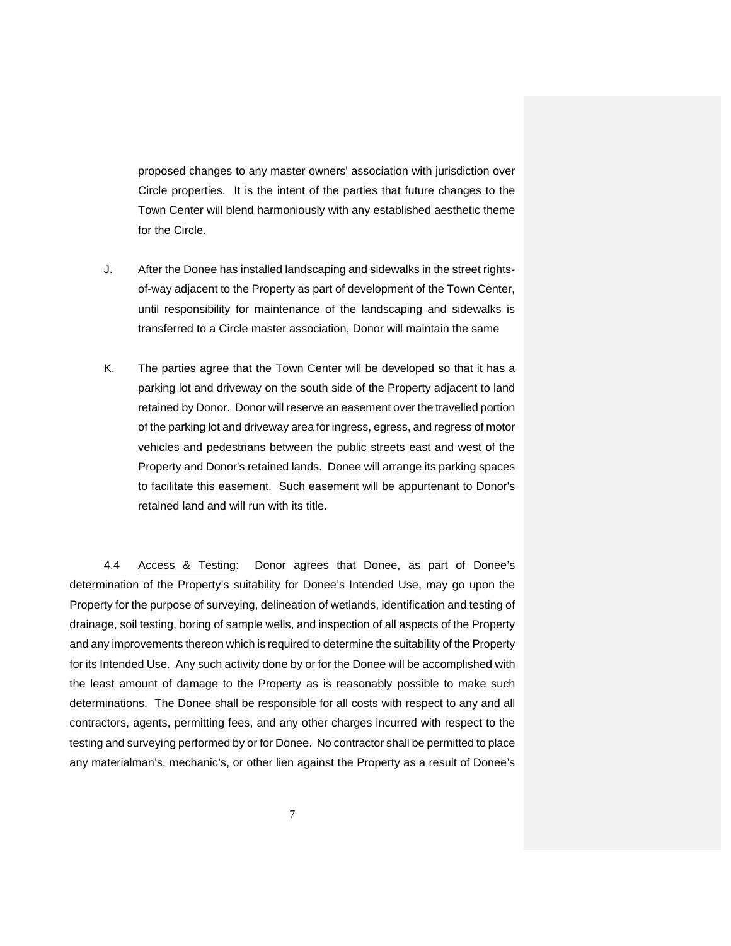proposed changes to any master owners' association with jurisdiction over Circle properties. It is the intent of the parties that future changes to the Town Center will blend harmoniously with any established aesthetic theme for the Circle.

- J. After the Donee has installed landscaping and sidewalks in the street rightsof-way adjacent to the Property as part of development of the Town Center, until responsibility for maintenance of the landscaping and sidewalks is transferred to a Circle master association, Donor will maintain the same
- K. The parties agree that the Town Center will be developed so that it has a parking lot and driveway on the south side of the Property adjacent to land retained by Donor. Donor will reserve an easement over the travelled portion of the parking lot and driveway area for ingress, egress, and regress of motor vehicles and pedestrians between the public streets east and west of the Property and Donor's retained lands. Donee will arrange its parking spaces to facilitate this easement. Such easement will be appurtenant to Donor's retained land and will run with its title.

 4.4 Access & Testing: Donor agrees that Donee, as part of Donee's determination of the Property's suitability for Donee's Intended Use, may go upon the Property for the purpose of surveying, delineation of wetlands, identification and testing of drainage, soil testing, boring of sample wells, and inspection of all aspects of the Property and any improvements thereon which is required to determine the suitability of the Property for its Intended Use. Any such activity done by or for the Donee will be accomplished with the least amount of damage to the Property as is reasonably possible to make such determinations. The Donee shall be responsible for all costs with respect to any and all contractors, agents, permitting fees, and any other charges incurred with respect to the testing and surveying performed by or for Donee. No contractor shall be permitted to place any materialman's, mechanic's, or other lien against the Property as a result of Donee's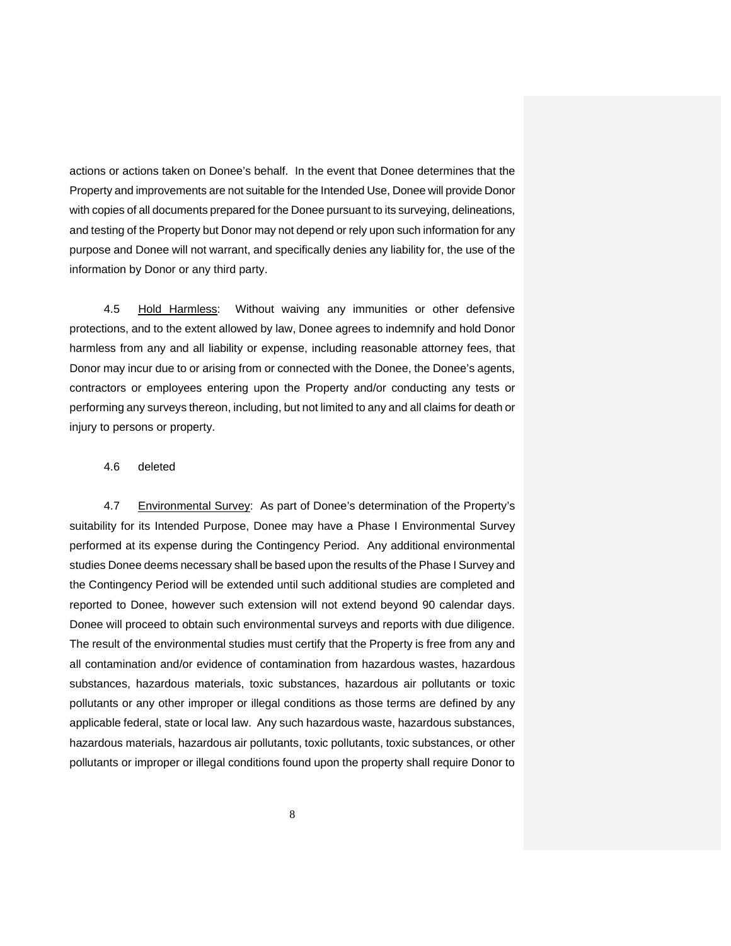actions or actions taken on Donee's behalf. In the event that Donee determines that the Property and improvements are not suitable for the Intended Use, Donee will provide Donor with copies of all documents prepared for the Donee pursuant to its surveying, delineations, and testing of the Property but Donor may not depend or rely upon such information for any purpose and Donee will not warrant, and specifically denies any liability for, the use of the information by Donor or any third party.

4.5 Hold Harmless: Without waiving any immunities or other defensive protections, and to the extent allowed by law, Donee agrees to indemnify and hold Donor harmless from any and all liability or expense, including reasonable attorney fees, that Donor may incur due to or arising from or connected with the Donee, the Donee's agents, contractors or employees entering upon the Property and/or conducting any tests or performing any surveys thereon, including, but not limited to any and all claims for death or injury to persons or property.

### 4.6 deleted

4.7 Environmental Survey: As part of Donee's determination of the Property's suitability for its Intended Purpose, Donee may have a Phase I Environmental Survey performed at its expense during the Contingency Period. Any additional environmental studies Donee deems necessary shall be based upon the results of the Phase I Survey and the Contingency Period will be extended until such additional studies are completed and reported to Donee, however such extension will not extend beyond 90 calendar days. Donee will proceed to obtain such environmental surveys and reports with due diligence. The result of the environmental studies must certify that the Property is free from any and all contamination and/or evidence of contamination from hazardous wastes, hazardous substances, hazardous materials, toxic substances, hazardous air pollutants or toxic pollutants or any other improper or illegal conditions as those terms are defined by any applicable federal, state or local law. Any such hazardous waste, hazardous substances, hazardous materials, hazardous air pollutants, toxic pollutants, toxic substances, or other pollutants or improper or illegal conditions found upon the property shall require Donor to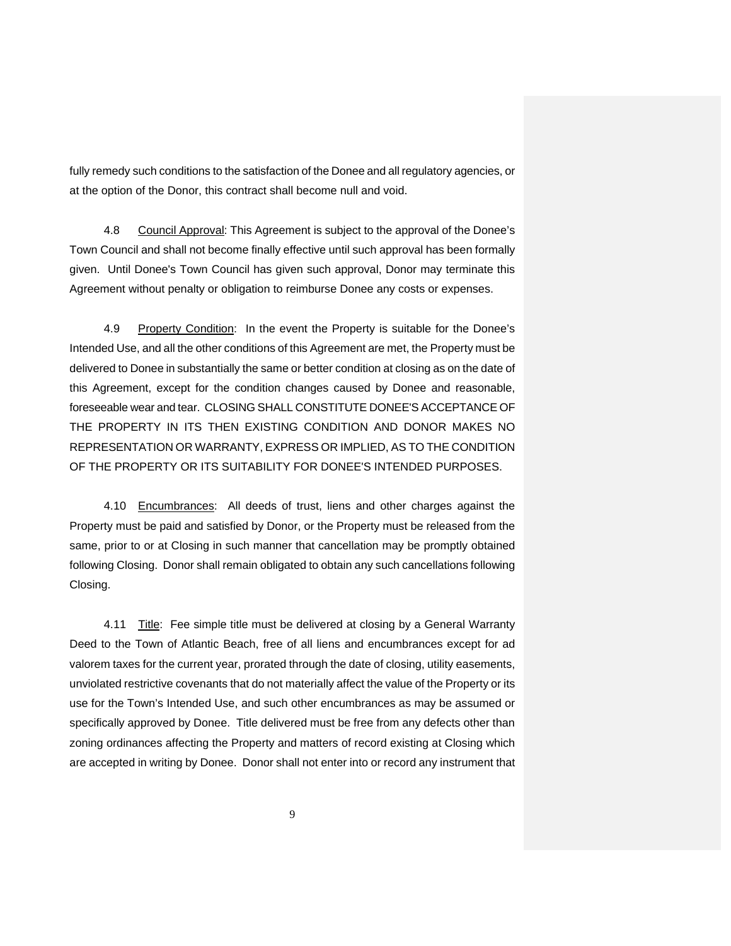fully remedy such conditions to the satisfaction of the Donee and all regulatory agencies, or at the option of the Donor, this contract shall become null and void.

4.8 Council Approval: This Agreement is subject to the approval of the Donee's Town Council and shall not become finally effective until such approval has been formally given. Until Donee's Town Council has given such approval, Donor may terminate this Agreement without penalty or obligation to reimburse Donee any costs or expenses.

4.9 Property Condition: In the event the Property is suitable for the Donee's Intended Use, and all the other conditions of this Agreement are met, the Property must be delivered to Donee in substantially the same or better condition at closing as on the date of this Agreement, except for the condition changes caused by Donee and reasonable, foreseeable wear and tear. CLOSING SHALL CONSTITUTE DONEE'S ACCEPTANCE OF THE PROPERTY IN ITS THEN EXISTING CONDITION AND DONOR MAKES NO REPRESENTATION OR WARRANTY, EXPRESS OR IMPLIED, AS TO THE CONDITION OF THE PROPERTY OR ITS SUITABILITY FOR DONEE'S INTENDED PURPOSES.

4.10 Encumbrances: All deeds of trust, liens and other charges against the Property must be paid and satisfied by Donor, or the Property must be released from the same, prior to or at Closing in such manner that cancellation may be promptly obtained following Closing. Donor shall remain obligated to obtain any such cancellations following Closing.

4.11 Title: Fee simple title must be delivered at closing by a General Warranty Deed to the Town of Atlantic Beach, free of all liens and encumbrances except for ad valorem taxes for the current year, prorated through the date of closing, utility easements, unviolated restrictive covenants that do not materially affect the value of the Property or its use for the Town's Intended Use, and such other encumbrances as may be assumed or specifically approved by Donee. Title delivered must be free from any defects other than zoning ordinances affecting the Property and matters of record existing at Closing which are accepted in writing by Donee. Donor shall not enter into or record any instrument that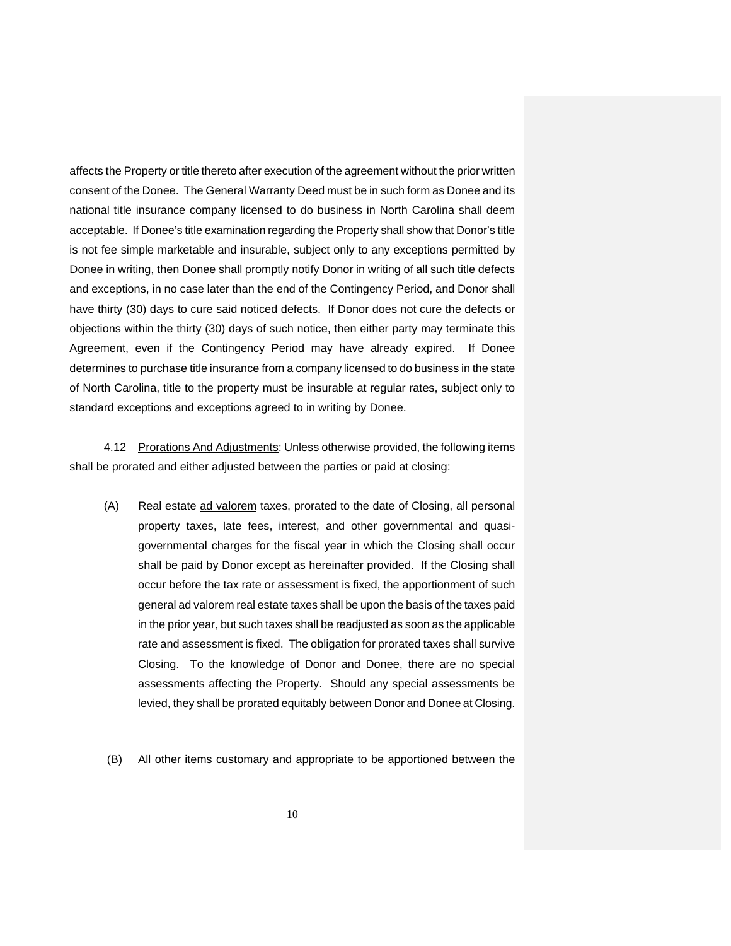affects the Property or title thereto after execution of the agreement without the prior written consent of the Donee. The General Warranty Deed must be in such form as Donee and its national title insurance company licensed to do business in North Carolina shall deem acceptable. If Donee's title examination regarding the Property shall show that Donor's title is not fee simple marketable and insurable, subject only to any exceptions permitted by Donee in writing, then Donee shall promptly notify Donor in writing of all such title defects and exceptions, in no case later than the end of the Contingency Period, and Donor shall have thirty (30) days to cure said noticed defects. If Donor does not cure the defects or objections within the thirty (30) days of such notice, then either party may terminate this Agreement, even if the Contingency Period may have already expired. If Donee determines to purchase title insurance from a company licensed to do business in the state of North Carolina, title to the property must be insurable at regular rates, subject only to standard exceptions and exceptions agreed to in writing by Donee.

 4.12 Prorations And Adjustments: Unless otherwise provided, the following items shall be prorated and either adjusted between the parties or paid at closing:

- (A) Real estate ad valorem taxes, prorated to the date of Closing, all personal property taxes, late fees, interest, and other governmental and quasigovernmental charges for the fiscal year in which the Closing shall occur shall be paid by Donor except as hereinafter provided. If the Closing shall occur before the tax rate or assessment is fixed, the apportionment of such general ad valorem real estate taxes shall be upon the basis of the taxes paid in the prior year, but such taxes shall be readjusted as soon as the applicable rate and assessment is fixed. The obligation for prorated taxes shall survive Closing. To the knowledge of Donor and Donee, there are no special assessments affecting the Property. Should any special assessments be levied, they shall be prorated equitably between Donor and Donee at Closing.
- (B) All other items customary and appropriate to be apportioned between the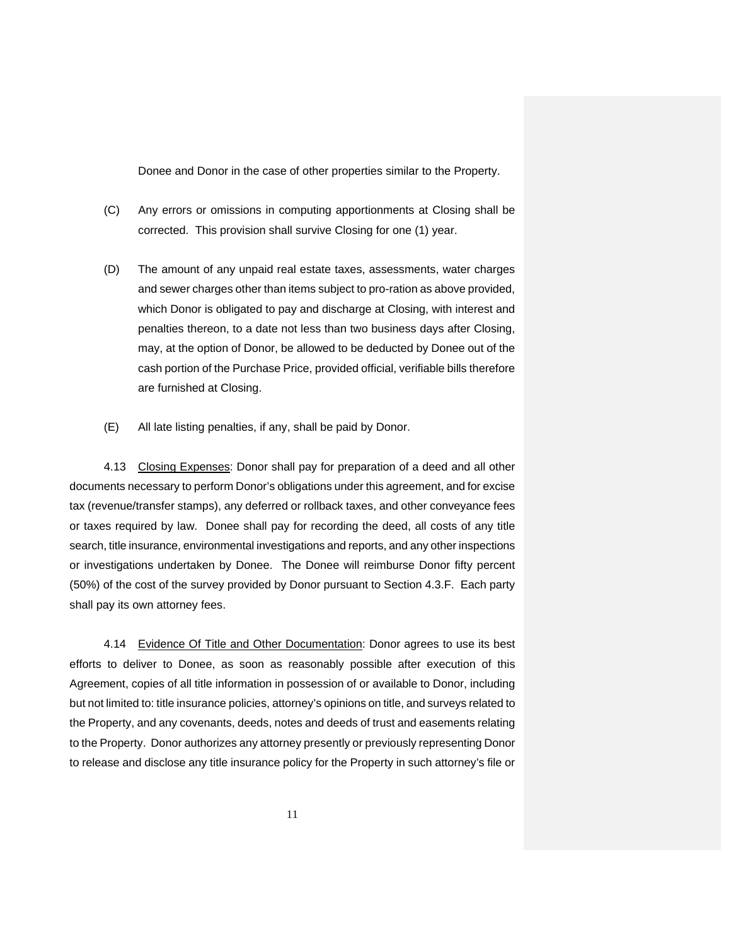Donee and Donor in the case of other properties similar to the Property.

- (C) Any errors or omissions in computing apportionments at Closing shall be corrected. This provision shall survive Closing for one (1) year.
- (D) The amount of any unpaid real estate taxes, assessments, water charges and sewer charges other than items subject to pro-ration as above provided, which Donor is obligated to pay and discharge at Closing, with interest and penalties thereon, to a date not less than two business days after Closing, may, at the option of Donor, be allowed to be deducted by Donee out of the cash portion of the Purchase Price, provided official, verifiable bills therefore are furnished at Closing.
- (E) All late listing penalties, if any, shall be paid by Donor.

4.13 Closing Expenses: Donor shall pay for preparation of a deed and all other documents necessary to perform Donor's obligations under this agreement, and for excise tax (revenue/transfer stamps), any deferred or rollback taxes, and other conveyance fees or taxes required by law. Donee shall pay for recording the deed, all costs of any title search, title insurance, environmental investigations and reports, and any other inspections or investigations undertaken by Donee. The Donee will reimburse Donor fifty percent (50%) of the cost of the survey provided by Donor pursuant to Section 4.3.F. Each party shall pay its own attorney fees.

4.14 Evidence Of Title and Other Documentation: Donor agrees to use its best efforts to deliver to Donee, as soon as reasonably possible after execution of this Agreement, copies of all title information in possession of or available to Donor, including but not limited to: title insurance policies, attorney's opinions on title, and surveys related to the Property, and any covenants, deeds, notes and deeds of trust and easements relating to the Property. Donor authorizes any attorney presently or previously representing Donor to release and disclose any title insurance policy for the Property in such attorney's file or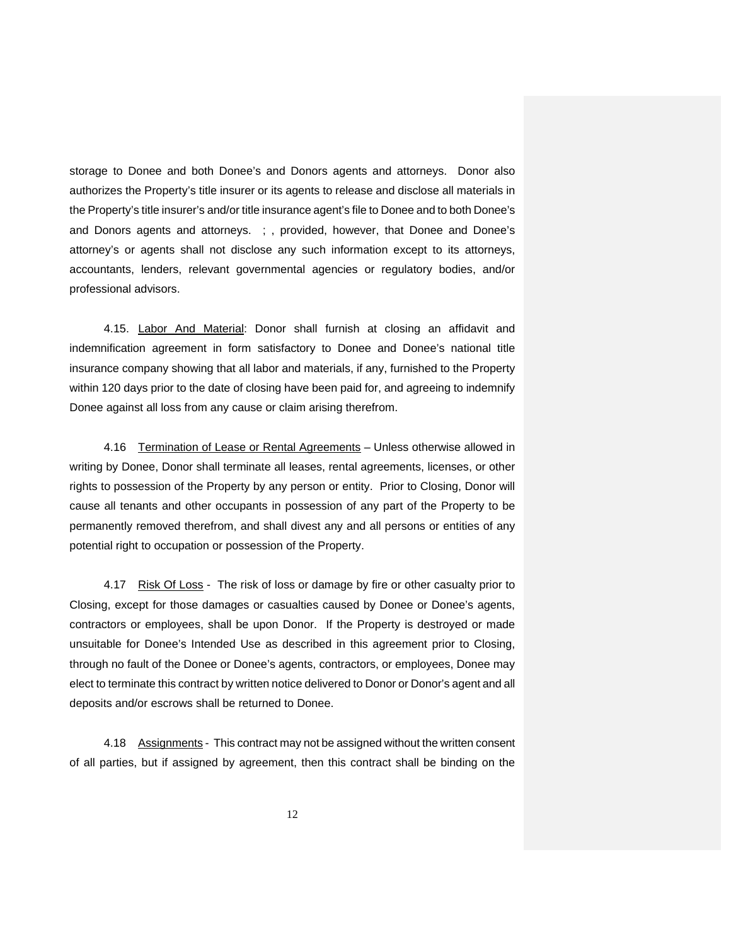storage to Donee and both Donee's and Donors agents and attorneys. Donor also authorizes the Property's title insurer or its agents to release and disclose all materials in the Property's title insurer's and/or title insurance agent's file to Donee and to both Donee's and Donors agents and attorneys. ; , provided, however, that Donee and Donee's attorney's or agents shall not disclose any such information except to its attorneys, accountants, lenders, relevant governmental agencies or regulatory bodies, and/or professional advisors.

4.15. Labor And Material: Donor shall furnish at closing an affidavit and indemnification agreement in form satisfactory to Donee and Donee's national title insurance company showing that all labor and materials, if any, furnished to the Property within 120 days prior to the date of closing have been paid for, and agreeing to indemnify Donee against all loss from any cause or claim arising therefrom.

 4.16 Termination of Lease or Rental Agreements – Unless otherwise allowed in writing by Donee, Donor shall terminate all leases, rental agreements, licenses, or other rights to possession of the Property by any person or entity. Prior to Closing, Donor will cause all tenants and other occupants in possession of any part of the Property to be permanently removed therefrom, and shall divest any and all persons or entities of any potential right to occupation or possession of the Property.

4.17 Risk Of Loss - The risk of loss or damage by fire or other casualty prior to Closing, except for those damages or casualties caused by Donee or Donee's agents, contractors or employees, shall be upon Donor. If the Property is destroyed or made unsuitable for Donee's Intended Use as described in this agreement prior to Closing, through no fault of the Donee or Donee's agents, contractors, or employees, Donee may elect to terminate this contract by written notice delivered to Donor or Donor's agent and all deposits and/or escrows shall be returned to Donee.

4.18 Assignments - This contract may not be assigned without the written consent of all parties, but if assigned by agreement, then this contract shall be binding on the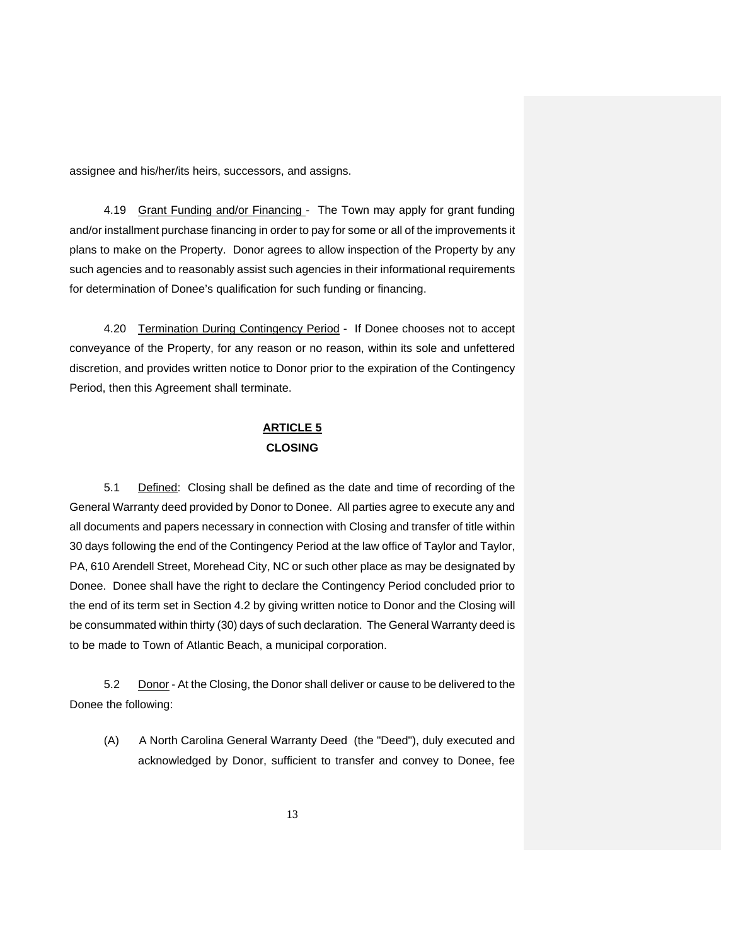assignee and his/her/its heirs, successors, and assigns.

4.19 Grant Funding and/or Financing - The Town may apply for grant funding and/or installment purchase financing in order to pay for some or all of the improvements it plans to make on the Property. Donor agrees to allow inspection of the Property by any such agencies and to reasonably assist such agencies in their informational requirements for determination of Donee's qualification for such funding or financing.

4.20 Termination During Contingency Period - If Donee chooses not to accept conveyance of the Property, for any reason or no reason, within its sole and unfettered discretion, and provides written notice to Donor prior to the expiration of the Contingency Period, then this Agreement shall terminate.

# **ARTICLE 5 CLOSING**

5.1 Defined: Closing shall be defined as the date and time of recording of the General Warranty deed provided by Donor to Donee. All parties agree to execute any and all documents and papers necessary in connection with Closing and transfer of title within 30 days following the end of the Contingency Period at the law office of Taylor and Taylor, PA, 610 Arendell Street, Morehead City, NC or such other place as may be designated by Donee. Donee shall have the right to declare the Contingency Period concluded prior to the end of its term set in Section 4.2 by giving written notice to Donor and the Closing will be consummated within thirty (30) days of such declaration. The General Warranty deed is to be made to Town of Atlantic Beach, a municipal corporation.

5.2 Donor - At the Closing, the Donor shall deliver or cause to be delivered to the Donee the following:

(A) A North Carolina General Warranty Deed (the "Deed"), duly executed and acknowledged by Donor, sufficient to transfer and convey to Donee, fee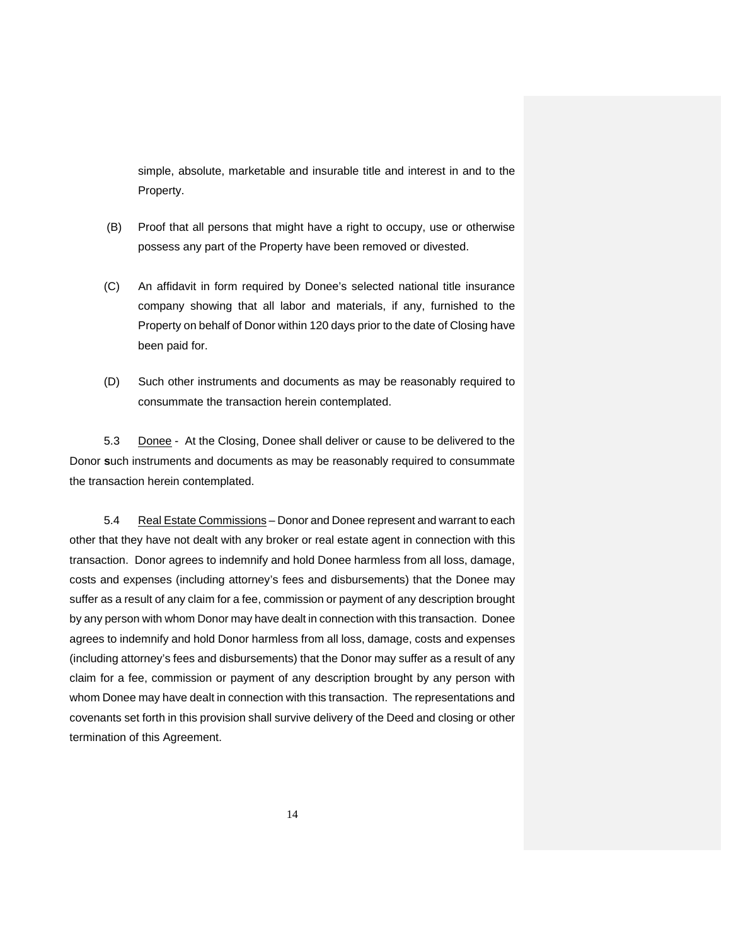simple, absolute, marketable and insurable title and interest in and to the Property.

- (B) Proof that all persons that might have a right to occupy, use or otherwise possess any part of the Property have been removed or divested.
- (C) An affidavit in form required by Donee's selected national title insurance company showing that all labor and materials, if any, furnished to the Property on behalf of Donor within 120 days prior to the date of Closing have been paid for.
- (D) Such other instruments and documents as may be reasonably required to consummate the transaction herein contemplated.

5.3 Donee - At the Closing, Donee shall deliver or cause to be delivered to the Donor **s**uch instruments and documents as may be reasonably required to consummate the transaction herein contemplated.

5.4 Real Estate Commissions – Donor and Donee represent and warrant to each other that they have not dealt with any broker or real estate agent in connection with this transaction. Donor agrees to indemnify and hold Donee harmless from all loss, damage, costs and expenses (including attorney's fees and disbursements) that the Donee may suffer as a result of any claim for a fee, commission or payment of any description brought by any person with whom Donor may have dealt in connection with this transaction. Donee agrees to indemnify and hold Donor harmless from all loss, damage, costs and expenses (including attorney's fees and disbursements) that the Donor may suffer as a result of any claim for a fee, commission or payment of any description brought by any person with whom Donee may have dealt in connection with this transaction. The representations and covenants set forth in this provision shall survive delivery of the Deed and closing or other termination of this Agreement.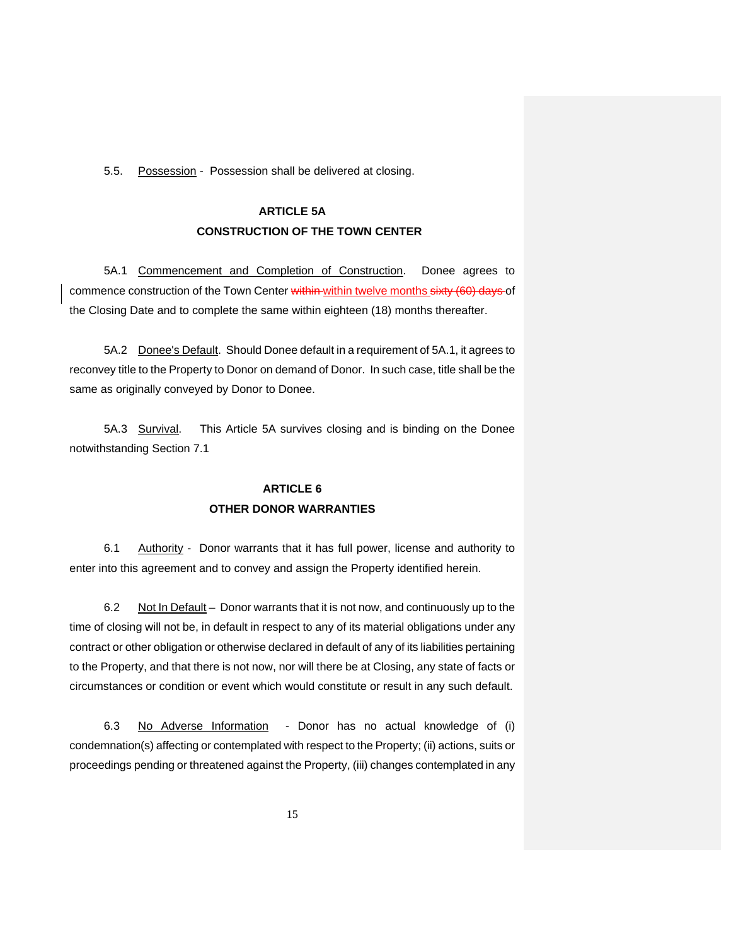5.5. Possession - Possession shall be delivered at closing.

# **ARTICLE 5A CONSTRUCTION OF THE TOWN CENTER**

 5A.1 Commencement and Completion of Construction. Donee agrees to commence construction of the Town Center within within twelve months sixty (60) days of the Closing Date and to complete the same within eighteen (18) months thereafter.

 5A.2 Donee's Default. Should Donee default in a requirement of 5A.1, it agrees to reconvey title to the Property to Donor on demand of Donor. In such case, title shall be the same as originally conveyed by Donor to Donee.

 5A.3 Survival. This Article 5A survives closing and is binding on the Donee notwithstanding Section 7.1

# **ARTICLE 6 OTHER DONOR WARRANTIES**

6.1 Authority - Donor warrants that it has full power, license and authority to enter into this agreement and to convey and assign the Property identified herein.

6.2 Not In Default – Donor warrants that it is not now, and continuously up to the time of closing will not be, in default in respect to any of its material obligations under any contract or other obligation or otherwise declared in default of any of its liabilities pertaining to the Property, and that there is not now, nor will there be at Closing, any state of facts or circumstances or condition or event which would constitute or result in any such default.

6.3 No Adverse Information- Donor has no actual knowledge of (i) condemnation(s) affecting or contemplated with respect to the Property; (ii) actions, suits or proceedings pending or threatened against the Property, (iii) changes contemplated in any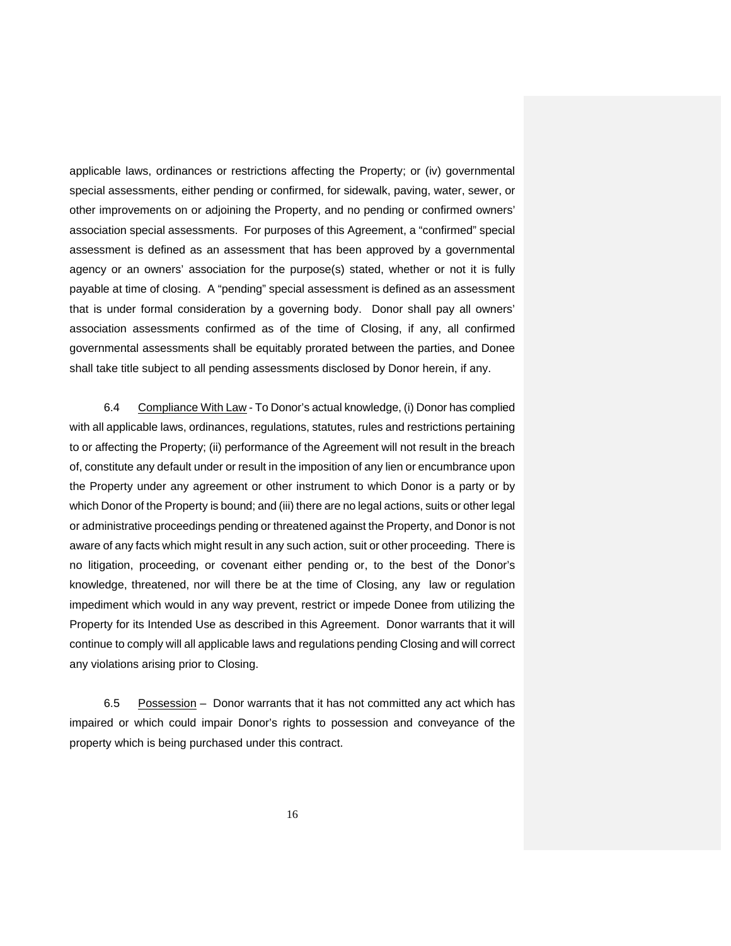applicable laws, ordinances or restrictions affecting the Property; or (iv) governmental special assessments, either pending or confirmed, for sidewalk, paving, water, sewer, or other improvements on or adjoining the Property, and no pending or confirmed owners' association special assessments. For purposes of this Agreement, a "confirmed" special assessment is defined as an assessment that has been approved by a governmental agency or an owners' association for the purpose(s) stated, whether or not it is fully payable at time of closing. A "pending" special assessment is defined as an assessment that is under formal consideration by a governing body. Donor shall pay all owners' association assessments confirmed as of the time of Closing, if any, all confirmed governmental assessments shall be equitably prorated between the parties, and Donee shall take title subject to all pending assessments disclosed by Donor herein, if any.

 6.4 Compliance With Law - To Donor's actual knowledge, (i) Donor has complied with all applicable laws, ordinances, regulations, statutes, rules and restrictions pertaining to or affecting the Property; (ii) performance of the Agreement will not result in the breach of, constitute any default under or result in the imposition of any lien or encumbrance upon the Property under any agreement or other instrument to which Donor is a party or by which Donor of the Property is bound; and (iii) there are no legal actions, suits or other legal or administrative proceedings pending or threatened against the Property, and Donor is not aware of any facts which might result in any such action, suit or other proceeding. There is no litigation, proceeding, or covenant either pending or, to the best of the Donor's knowledge, threatened, nor will there be at the time of Closing, any law or regulation impediment which would in any way prevent, restrict or impede Donee from utilizing the Property for its Intended Use as described in this Agreement. Donor warrants that it will continue to comply will all applicable laws and regulations pending Closing and will correct any violations arising prior to Closing.

6.5 Possession – Donor warrants that it has not committed any act which has impaired or which could impair Donor's rights to possession and conveyance of the property which is being purchased under this contract.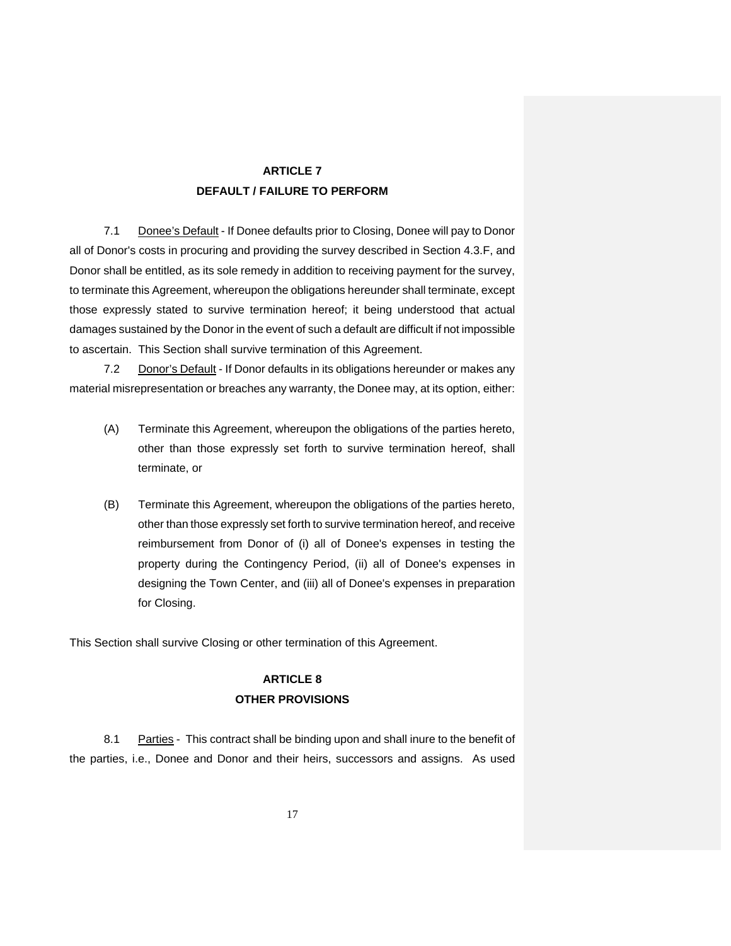# **ARTICLE 7 DEFAULT / FAILURE TO PERFORM**

7.1 Donee's Default - If Donee defaults prior to Closing, Donee will pay to Donor all of Donor's costs in procuring and providing the survey described in Section 4.3.F, and Donor shall be entitled, as its sole remedy in addition to receiving payment for the survey, to terminate this Agreement, whereupon the obligations hereunder shall terminate, except those expressly stated to survive termination hereof; it being understood that actual damages sustained by the Donor in the event of such a default are difficult if not impossible to ascertain. This Section shall survive termination of this Agreement.

7.2 Donor's Default - If Donor defaults in its obligations hereunder or makes any material misrepresentation or breaches any warranty, the Donee may, at its option, either:

- (A) Terminate this Agreement, whereupon the obligations of the parties hereto, other than those expressly set forth to survive termination hereof, shall terminate, or
- (B) Terminate this Agreement, whereupon the obligations of the parties hereto, other than those expressly set forth to survive termination hereof, and receive reimbursement from Donor of (i) all of Donee's expenses in testing the property during the Contingency Period, (ii) all of Donee's expenses in designing the Town Center, and (iii) all of Donee's expenses in preparation for Closing.

This Section shall survive Closing or other termination of this Agreement.

# **ARTICLE 8 OTHER PROVISIONS**

8.1 Parties - This contract shall be binding upon and shall inure to the benefit of the parties, i.e., Donee and Donor and their heirs, successors and assigns. As used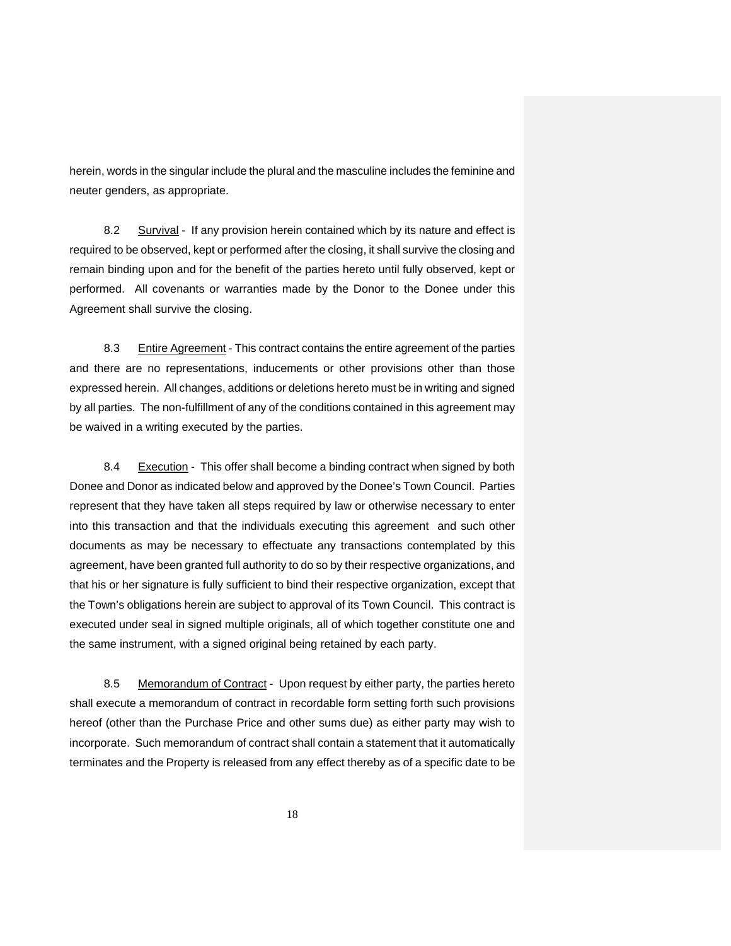herein, words in the singular include the plural and the masculine includes the feminine and neuter genders, as appropriate.

8.2 Survival - If any provision herein contained which by its nature and effect is required to be observed, kept or performed after the closing, it shall survive the closing and remain binding upon and for the benefit of the parties hereto until fully observed, kept or performed. All covenants or warranties made by the Donor to the Donee under this Agreement shall survive the closing.

8.3 Entire Agreement - This contract contains the entire agreement of the parties and there are no representations, inducements or other provisions other than those expressed herein. All changes, additions or deletions hereto must be in writing and signed by all parties. The non-fulfillment of any of the conditions contained in this agreement may be waived in a writing executed by the parties.

8.4 Execution - This offer shall become a binding contract when signed by both Donee and Donor as indicated below and approved by the Donee's Town Council. Parties represent that they have taken all steps required by law or otherwise necessary to enter into this transaction and that the individuals executing this agreement and such other documents as may be necessary to effectuate any transactions contemplated by this agreement, have been granted full authority to do so by their respective organizations, and that his or her signature is fully sufficient to bind their respective organization, except that the Town's obligations herein are subject to approval of its Town Council. This contract is executed under seal in signed multiple originals, all of which together constitute one and the same instrument, with a signed original being retained by each party.

8.5 Memorandum of Contract - Upon request by either party, the parties hereto shall execute a memorandum of contract in recordable form setting forth such provisions hereof (other than the Purchase Price and other sums due) as either party may wish to incorporate. Such memorandum of contract shall contain a statement that it automatically terminates and the Property is released from any effect thereby as of a specific date to be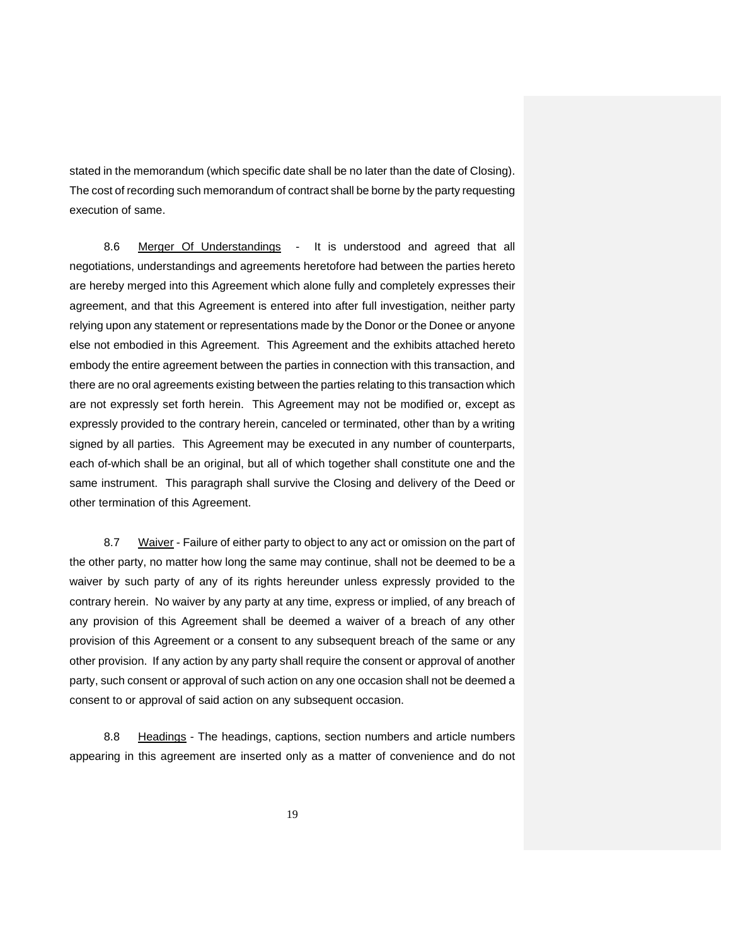stated in the memorandum (which specific date shall be no later than the date of Closing). The cost of recording such memorandum of contract shall be borne by the party requesting execution of same.

8.6 Merger Of Understandings - It is understood and agreed that all negotiations, understandings and agreements heretofore had between the parties hereto are hereby merged into this Agreement which alone fully and completely expresses their agreement, and that this Agreement is entered into after full investigation, neither party relying upon any statement or representations made by the Donor or the Donee or anyone else not embodied in this Agreement. This Agreement and the exhibits attached hereto embody the entire agreement between the parties in connection with this transaction, and there are no oral agreements existing between the parties relating to this transaction which are not expressly set forth herein. This Agreement may not be modified or, except as expressly provided to the contrary herein, canceled or terminated, other than by a writing signed by all parties. This Agreement may be executed in any number of counterparts, each of-which shall be an original, but all of which together shall constitute one and the same instrument. This paragraph shall survive the Closing and delivery of the Deed or other termination of this Agreement.

8.7 Waiver - Failure of either party to object to any act or omission on the part of the other party, no matter how long the same may continue, shall not be deemed to be a waiver by such party of any of its rights hereunder unless expressly provided to the contrary herein. No waiver by any party at any time, express or implied, of any breach of any provision of this Agreement shall be deemed a waiver of a breach of any other provision of this Agreement or a consent to any subsequent breach of the same or any other provision. If any action by any party shall require the consent or approval of another party, such consent or approval of such action on any one occasion shall not be deemed a consent to or approval of said action on any subsequent occasion.

8.8 Headings - The headings, captions, section numbers and article numbers appearing in this agreement are inserted only as a matter of convenience and do not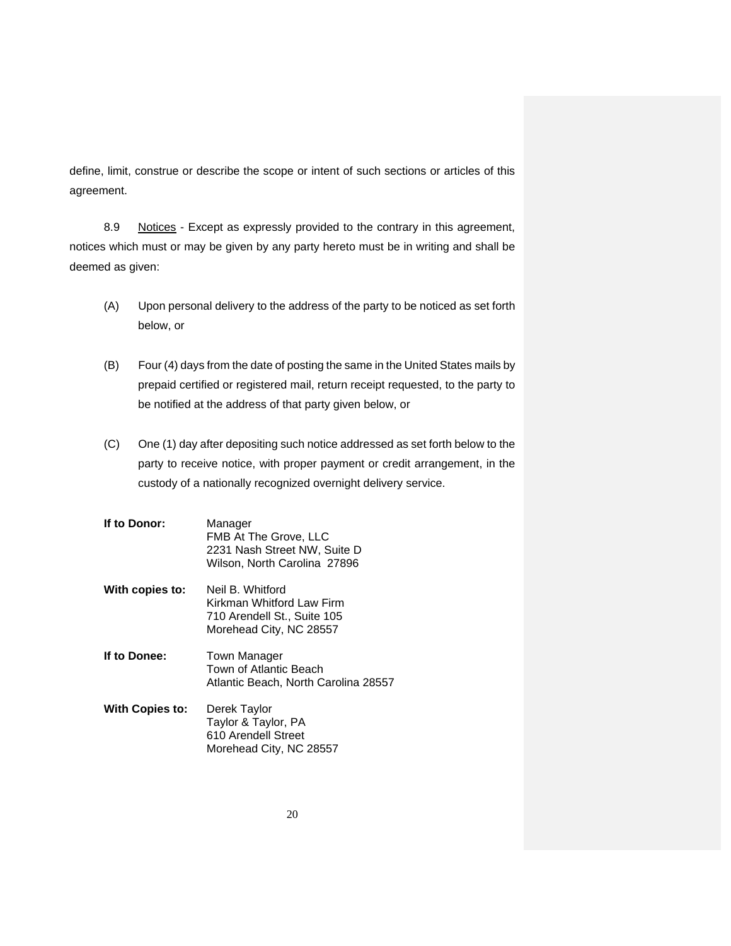define, limit, construe or describe the scope or intent of such sections or articles of this agreement.

8.9 Notices - Except as expressly provided to the contrary in this agreement, notices which must or may be given by any party hereto must be in writing and shall be deemed as given:

- (A) Upon personal delivery to the address of the party to be noticed as set forth below, or
- (B) Four (4) days from the date of posting the same in the United States mails by prepaid certified or registered mail, return receipt requested, to the party to be notified at the address of that party given below, or
- (C) One (1) day after depositing such notice addressed as set forth below to the party to receive notice, with proper payment or credit arrangement, in the custody of a nationally recognized overnight delivery service.
- **If to Donor:** Manager FMB At The Grove, LLC 2231 Nash Street NW, Suite D Wilson, North Carolina 27896
- **With copies to:** Neil B. Whitford Kirkman Whitford Law Firm 710 Arendell St., Suite 105 Morehead City, NC 28557
- **If to Donee:** Town Manager Town of Atlantic Beach Atlantic Beach, North Carolina 28557
- **With Copies to:** Derek Taylor Taylor & Taylor, PA 610 Arendell Street Morehead City, NC 28557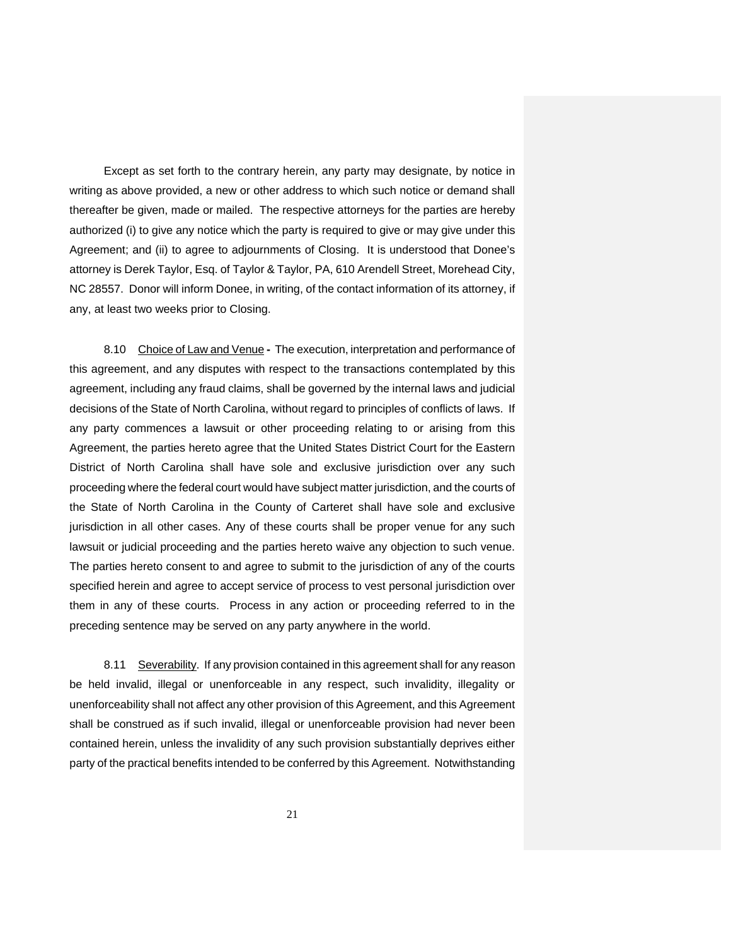Except as set forth to the contrary herein, any party may designate, by notice in writing as above provided, a new or other address to which such notice or demand shall thereafter be given, made or mailed. The respective attorneys for the parties are hereby authorized (i) to give any notice which the party is required to give or may give under this Agreement; and (ii) to agree to adjournments of Closing. It is understood that Donee's attorney is Derek Taylor, Esq. of Taylor & Taylor, PA, 610 Arendell Street, Morehead City, NC 28557. Donor will inform Donee, in writing, of the contact information of its attorney, if any, at least two weeks prior to Closing.

 8.10 Choice of Law and Venue **-** The execution, interpretation and performance of this agreement, and any disputes with respect to the transactions contemplated by this agreement, including any fraud claims, shall be governed by the internal laws and judicial decisions of the State of North Carolina, without regard to principles of conflicts of laws. If any party commences a lawsuit or other proceeding relating to or arising from this Agreement, the parties hereto agree that the United States District Court for the Eastern District of North Carolina shall have sole and exclusive jurisdiction over any such proceeding where the federal court would have subject matter jurisdiction, and the courts of the State of North Carolina in the County of Carteret shall have sole and exclusive jurisdiction in all other cases. Any of these courts shall be proper venue for any such lawsuit or judicial proceeding and the parties hereto waive any objection to such venue. The parties hereto consent to and agree to submit to the jurisdiction of any of the courts specified herein and agree to accept service of process to vest personal jurisdiction over them in any of these courts. Process in any action or proceeding referred to in the preceding sentence may be served on any party anywhere in the world.

8.11 Severability. If any provision contained in this agreement shall for any reason be held invalid, illegal or unenforceable in any respect, such invalidity, illegality or unenforceability shall not affect any other provision of this Agreement, and this Agreement shall be construed as if such invalid, illegal or unenforceable provision had never been contained herein, unless the invalidity of any such provision substantially deprives either party of the practical benefits intended to be conferred by this Agreement. Notwithstanding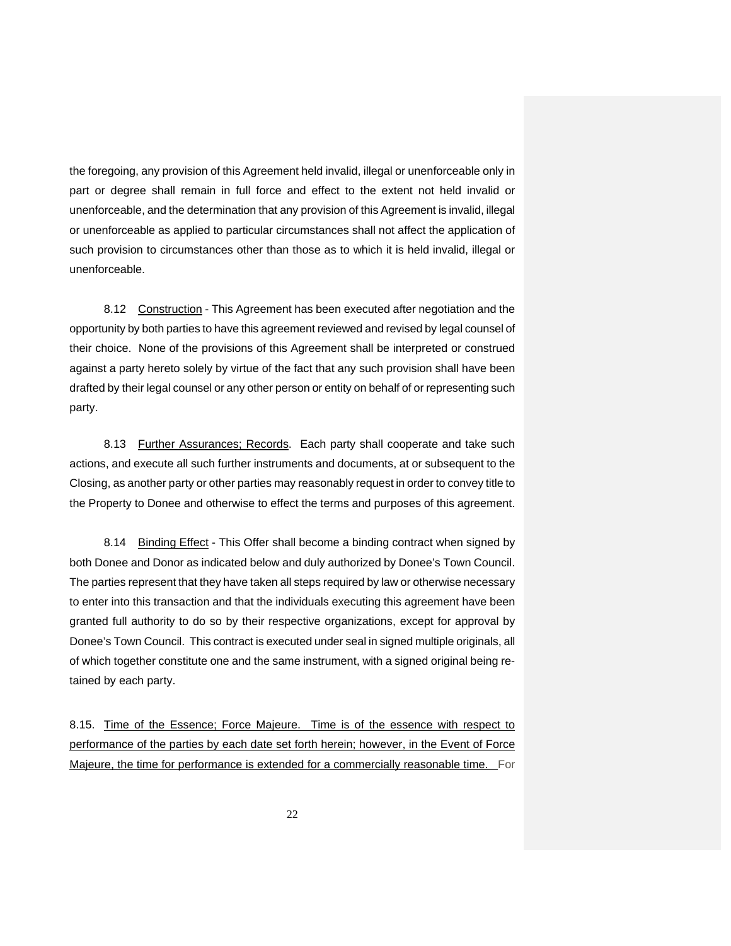the foregoing, any provision of this Agreement held invalid, illegal or unenforceable only in part or degree shall remain in full force and effect to the extent not held invalid or unenforceable, and the determination that any provision of this Agreement is invalid, illegal or unenforceable as applied to particular circumstances shall not affect the application of such provision to circumstances other than those as to which it is held invalid, illegal or unenforceable.

8.12 Construction - This Agreement has been executed after negotiation and the opportunity by both parties to have this agreement reviewed and revised by legal counsel of their choice. None of the provisions of this Agreement shall be interpreted or construed against a party hereto solely by virtue of the fact that any such provision shall have been drafted by their legal counsel or any other person or entity on behalf of or representing such party.

8.13 Further Assurances; Records. Each party shall cooperate and take such actions, and execute all such further instruments and documents, at or subsequent to the Closing, as another party or other parties may reasonably request in order to convey title to the Property to Donee and otherwise to effect the terms and purposes of this agreement.

8.14 Binding Effect - This Offer shall become a binding contract when signed by both Donee and Donor as indicated below and duly authorized by Donee's Town Council. The parties represent that they have taken all steps required by law or otherwise necessary to enter into this transaction and that the individuals executing this agreement have been granted full authority to do so by their respective organizations, except for approval by Donee's Town Council. This contract is executed under seal in signed multiple originals, all of which together constitute one and the same instrument, with a signed original being retained by each party.

8.15. Time of the Essence; Force Majeure. Time is of the essence with respect to performance of the parties by each date set forth herein; however, in the Event of Force Majeure, the time for performance is extended for a commercially reasonable time. For